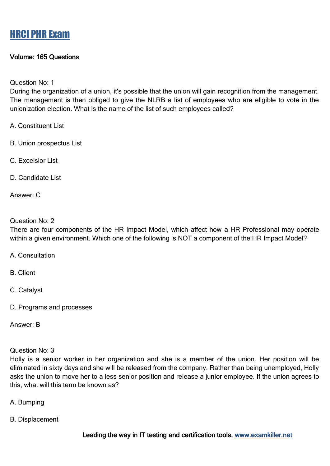### Volume: 165 Questions

Question No: 1

During the organization of a union, it's possible that the union will gain recognition from the management. The management is then obliged to give the NLRB a list of employees who are eligible to vote in the unionization election. What is the name of the list of such employees called?

- A. Constituent List
- B. Union prospectus List
- C. Excelsior List
- D. Candidate List

Answer: C

#### Question No: 2

There are four components of the HR Impact Model, which affect how a HR Professional may operate within a given environment. Which one of the following is NOT a component of the HR Impact Model?

- A. Consultation
- B. Client
- C. Catalyst
- D. Programs and processes

Answer: B

Question No: 3

Holly is a senior worker in her organization and she is a member of the union. Her position will be eliminated in sixty days and she will be released from the company. Rather than being unemployed, Holly asks the union to move her to a less senior position and release a junior employee. If the union agrees to this, what will this term be known as?

- A. Bumping
- B. Displacement

Leading the way in IT testing and certification tools, www.examkiller.net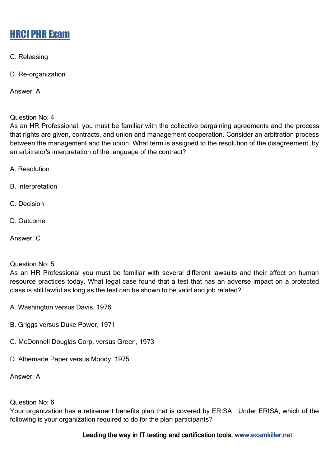C. Releasing

D. Re-organization

Answer: A

Question No: 4

As an HR Professional, you must be familiar with the collective bargaining agreements and the process that rights are given, contracts, and union and management cooperation. Consider an arbitration process between the management and the union. What term is assigned to the resolution of the disagreement, by an arbitrator's interpretation of the language of the contract?

A. Resolution

B. Interpretation

- C. Decision
- D. Outcome

Answer: C

### Question No: 5

As an HR Professional you must be familiar with several different lawsuits and their affect on human resource practices today. What legal case found that a test that has an adverse impact on a protected class is still lawful as long as the test can be shown to be valid and job related?

- A. Washington versus Davis, 1976
- B. Griggs versus Duke Power, 1971
- C. McDonnell Douglas Corp. versus Green, 1973
- D. Albemarle Paper versus Moody, 1975

Answer: A

### Question No: 6

Your organization has a retirement benefits plan that is covered by ERISA . Under ERISA, which of the following is your organization required to do for the plan participants?

### Leading the way in IT testing and certification tools, www.examkiller.net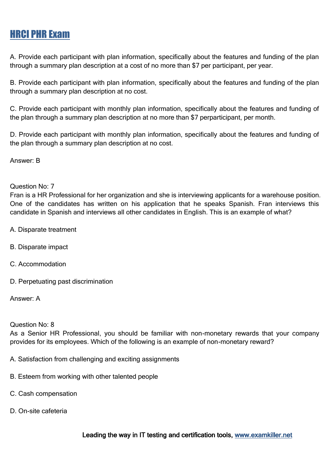A. Provide each participant with plan information, specifically about the features and funding of the plan through a summary plan description at a cost of no more than \$7 per participant, per year.

B. Provide each participant with plan information, specifically about the features and funding of the plan through a summary plan description at no cost.

C. Provide each participant with monthly plan information, specifically about the features and funding of the plan through a summary plan description at no more than \$7 perparticipant, per month.

D. Provide each participant with monthly plan information, specifically about the features and funding of the plan through a summary plan description at no cost.

Answer: B

Question No: 7

Fran is a HR Professional for her organization and she is interviewing applicants for a warehouse position. One of the candidates has written on his application that he speaks Spanish. Fran interviews this candidate in Spanish and interviews all other candidates in English. This is an example of what?

- A. Disparate treatment
- B. Disparate impact
- C. Accommodation
- D. Perpetuating past discrimination

Answer: A

Question No: 8

As a Senior HR Professional, you should be familiar with non-monetary rewards that your company provides for its employees. Which of the following is an example of non-monetary reward?

- A. Satisfaction from challenging and exciting assignments
- B. Esteem from working with other talented people
- C. Cash compensation
- D. On-site cafeteria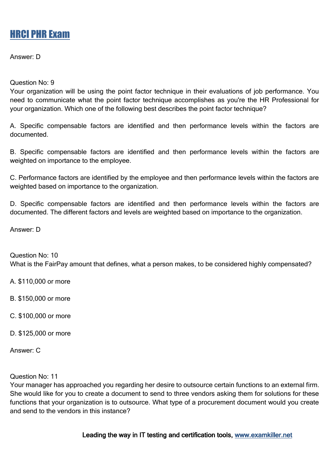Answer: D

Question No: 9

Your organization will be using the point factor technique in their evaluations of job performance. You need to communicate what the point factor technique accomplishes as you're the HR Professional for your organization. Which one of the following best describes the point factor technique?

A. Specific compensable factors are identified and then performance levels within the factors are documented.

B. Specific compensable factors are identified and then performance levels within the factors are weighted on importance to the employee.

C. Performance factors are identified by the employee and then performance levels within the factors are weighted based on importance to the organization.

D. Specific compensable factors are identified and then performance levels within the factors are documented. The different factors and levels are weighted based on importance to the organization.

Answer: D

Question No: 10 What is the FairPay amount that defines, what a person makes, to be considered highly compensated?

A. \$110,000 or more

B. \$150,000 or more

C. \$100,000 or more

D. \$125,000 or more

Answer: C

Question No: 11

Your manager has approached you regarding her desire to outsource certain functions to an external firm. She would like for you to create a document to send to three vendors asking them for solutions for these functions that your organization is to outsource. What type of a procurement document would you create and send to the vendors in this instance?

Leading the way in IT testing and certification tools, www.examkiller.net